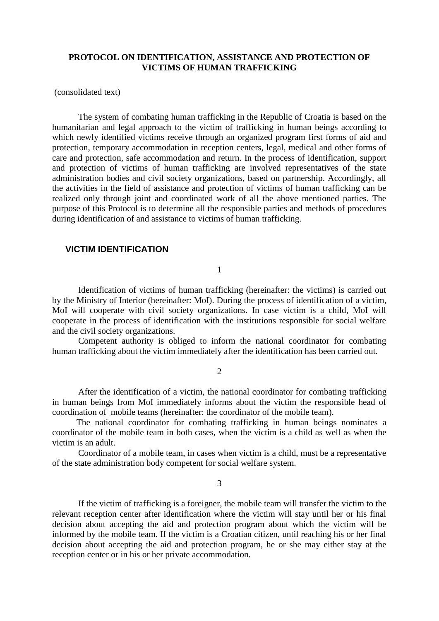## **PROTOCOL ON IDENTIFICATION, ASSISTANCE AND PROTECTION OF VICTIMS OF HUMAN TRAFFICKING**

#### (consolidated text)

The system of combating human trafficking in the Republic of Croatia is based on the humanitarian and legal approach to the victim of trafficking in human beings according to which newly identified victims receive through an organized program first forms of aid and protection, temporary accommodation in reception centers, legal, medical and other forms of care and protection, safe accommodation and return. In the process of identification, support and protection of victims of human trafficking are involved representatives of the state administration bodies and civil society organizations, based on partnership. Accordingly, all the activities in the field of assistance and protection of victims of human trafficking can be realized only through joint and coordinated work of all the above mentioned parties. The purpose of this Protocol is to determine all the responsible parties and methods of procedures during identification of and assistance to victims of human trafficking.

### **VICTIM IDENTIFICATION**

1

Identification of victims of human trafficking (hereinafter: the victims) is carried out by the Ministry of Interior (hereinafter: MoI). During the process of identification of a victim, MoI will cooperate with civil society organizations. In case victim is a child, MoI will cooperate in the process of identification with the institutions responsible for social welfare and the civil society organizations.

Competent authority is obliged to inform the national coordinator for combating human trafficking about the victim immediately after the identification has been carried out.

 $\mathcal{L}$ 

After the identification of a victim, the national coordinator for combating trafficking in human beings from MoI immediately informs about the victim the responsible head of coordination of mobile teams (hereinafter: the coordinator of the mobile team).

The national coordinator for combating trafficking in human beings nominates a coordinator of the mobile team in both cases, when the victim is a child as well as when the victim is an adult.

Coordinator of a mobile team, in cases when victim is a child, must be a representative of the state administration body competent for social welfare system.

3

If the victim of trafficking is a foreigner, the mobile team will transfer the victim to the relevant reception center after identification where the victim will stay until her or his final decision about accepting the aid and protection program about which the victim will be informed by the mobile team. If the victim is a Croatian citizen, until reaching his or her final decision about accepting the aid and protection program, he or she may either stay at the reception center or in his or her private accommodation.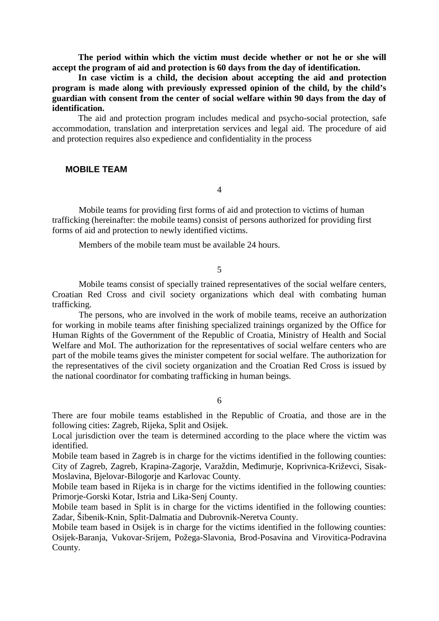**The period within which the victim must decide whether or not he or she will accept the program of aid and protection is 60 days from the day of identification.**

**In case victim is a child, the decision about accepting the aid and protection program is made along with previously expressed opinion of the child, by the child's guardian with consent from the center of social welfare within 90 days from the day of identification.**

The aid and protection program includes medical and psycho-social protection, safe accommodation, translation and interpretation services and legal aid. The procedure of aid and protection requires also expedience and confidentiality in the process

## **MOBILE TEAM**

4

Mobile teams for providing first forms of aid and protection to victims of human trafficking (hereinafter: the mobile teams) consist of persons authorized for providing first forms of aid and protection to newly identified victims.

Members of the mobile team must be available 24 hours.

5

Mobile teams consist of specially trained representatives of the social welfare centers, Croatian Red Cross and civil society organizations which deal with combating human trafficking.

The persons, who are involved in the work of mobile teams, receive an authorization for working in mobile teams after finishing specialized trainings organized by the Office for Human Rights of the Government of the Republic of Croatia, Ministry of Health and Social Welfare and MoI. The authorization for the representatives of social welfare centers who are part of the mobile teams gives the minister competent for social welfare. The authorization for the representatives of the civil society organization and the Croatian Red Cross is issued by the national coordinator for combating trafficking in human beings.

6

There are four mobile teams established in the Republic of Croatia, and those are in the following cities: Zagreb, Rijeka, Split and Osijek.

Local jurisdiction over the team is determined according to the place where the victim was identified.

Mobile team based in Zagreb is in charge for the victims identified in the following counties: City of Zagreb, Zagreb, Krapina-Zagorje, Varaždin, Me imurje, Koprivnica-Križevci, Sisak-Moslavina, Bjelovar-Bilogorje and Karlovac County.

Mobile team based in Rijeka is in charge for the victims identified in the following counties: Primorie-Gorski Kotar, Istria and Lika-Senj County.

Mobile team based in Split is in charge for the victims identified in the following counties: Zadar, Šibenik-Knin, Split-Dalmatia and Dubrovnik-Neretva County.

Mobile team based in Osijek is in charge for the victims identified in the following counties: Osijek-Baranja, Vukovar-Srijem, Požega-Slavonia, Brod-Posavina and Virovitica-Podravina County.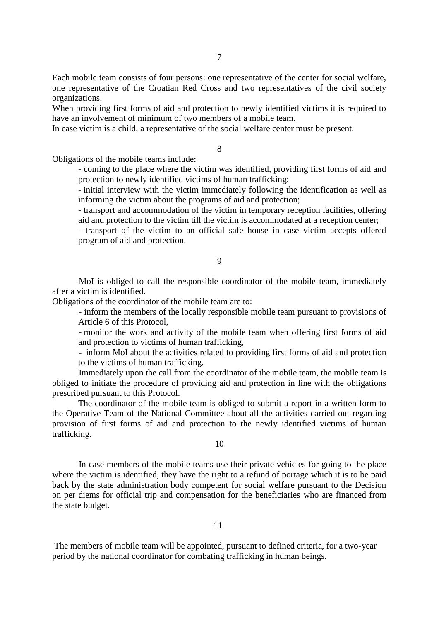Each mobile team consists of four persons: one representative of the center for social welfare, one representative of the Croatian Red Cross and two representatives of the civil society organizations.

When providing first forms of aid and protection to newly identified victims it is required to have an involvement of minimum of two members of a mobile team.

In case victim is a child, a representative of the social welfare center must be present.

8

Obligations of the mobile teams include:

- coming to the place where the victim was identified, providing first forms of aid and protection to newly identified victims of human trafficking;

- initial interview with the victim immediately following the identification as well as informing the victim about the programs of aid and protection;

- transport and accommodation of the victim in temporary reception facilities, offering aid and protection to the victim till the victim is accommodated at a reception center;

- transport of the victim to an official safe house in case victim accepts offered program of aid and protection.

#### 9

MoI is obliged to call the responsible coordinator of the mobile team, immediately after a victim is identified.

Obligations of the coordinator of the mobile team are to:

- inform the members of the locally responsible mobile team pursuant to provisions of Article 6 of this Protocol,

- monitor the work and activity of the mobile team when offering first forms of aid and protection to victims of human trafficking,

- inform MoI about the activities related to providing first forms of aid and protection to the victims of human trafficking.

Immediately upon the call from the coordinator of the mobile team, the mobile team is obliged to initiate the procedure of providing aid and protection in line with the obligations prescribed pursuant to this Protocol.

The coordinator of the mobile team is obliged to submit a report in a written form to the Operative Team of the National Committee about all the activities carried out regarding provision of first forms of aid and protection to the newly identified victims of human trafficking.

#### 10

In case members of the mobile teams use their private vehicles for going to the place where the victim is identified, they have the right to a refund of portage which it is to be paid back by the state administration body competent for social welfare pursuant to the Decision on per diems for official trip and compensation for the beneficiaries who are financed from the state budget.

The members of mobile team will be appointed, pursuant to defined criteria, for a two-year period by the national coordinator for combating trafficking in human beings.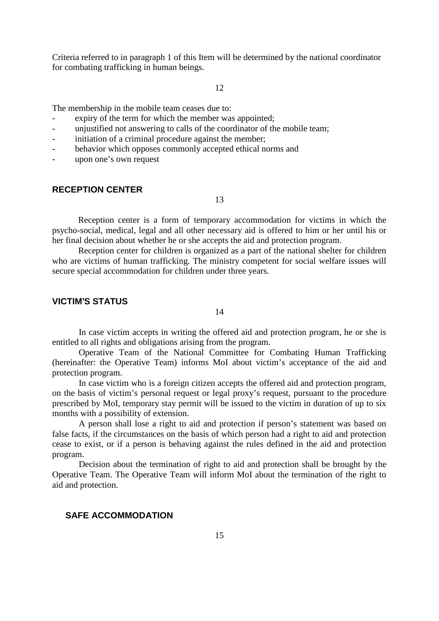Criteria referred to in paragraph 1 of this Item will be determined by the national coordinator for combating trafficking in human beings.

#### 12

The membership in the mobile team ceases due to:

- expiry of the term for which the member was appointed;
- unjustified not answering to calls of the coordinator of the mobile team;
- initiation of a criminal procedure against the member;
- behavior which opposes commonly accepted ethical norms and
- upon one's own request

## **RECEPTION CENTER**

13

Reception center is a form of temporary accommodation for victims in which the psycho-social, medical, legal and all other necessary aid is offered to him or her until his or her final decision about whether he or she accepts the aid and protection program.

Reception center for children is organized as a part of the national shelter for children who are victims of human trafficking. The ministry competent for social welfare issues will secure special accommodation for children under three years.

### **VICTIM'S STATUS**

14

In case victim accepts in writing the offered aid and protection program, he or she is entitled to all rights and obligations arising from the program.

Operative Team of the National Committee for Combating Human Trafficking (hereinafter: the Operative Team) informs MoI about victim's acceptance of the aid and protection program.

In case victim who is a foreign citizen accepts the offered aid and protection program, on the basis of victim's personal request or legal proxy's request, pursuant to the procedure prescribed by MoI, temporary stay permit will be issued to the victim in duration of up to six months with a possibility of extension.

A person shall lose a right to aid and protection if person's statement was based on false facts, if the circumstances on the basis of which person had a right to aid and protection cease to exist, or if a person is behaving against the rules defined in the aid and protection program.

Decision about the termination of right to aid and protection shall be brought by the Operative Team. The Operative Team will inform MoI about the termination of the right to aid and protection.

#### **SAFE ACCOMMODATION**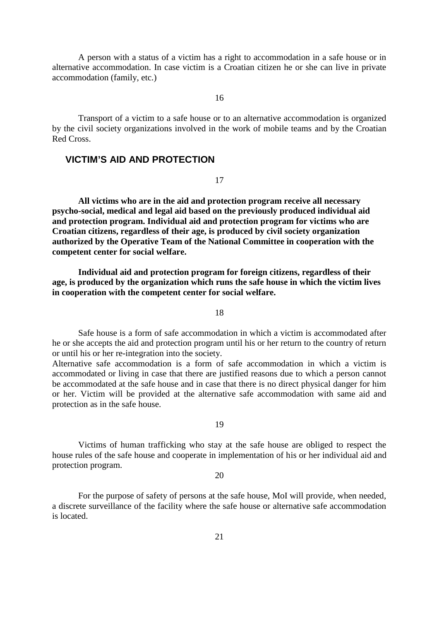A person with a status of a victim has a right to accommodation in a safe house or in alternative accommodation. In case victim is a Croatian citizen he or she can live in private accommodation (family, etc.)

16

Transport of a victim to a safe house or to an alternative accommodation is organized by the civil society organizations involved in the work of mobile teams and by the Croatian Red Cross.

# **VICTIM'S AID AND PROTECTION**

17

**All victims who are in the aid and protection program receive all necessary psycho-social, medical and legal aid based on the previously produced individual aid and protection program. Individual aid and protection program for victims who are Croatian citizens, regardless of their age, is produced by civil society organization authorized by the Operative Team of the National Committee in cooperation with the competent center for social welfare.**

**Individual aid and protection program for foreign citizens, regardless of their age, is produced by the organization which runs the safe house in which the victim lives in cooperation with the competent center for social welfare.**

18

Safe house is a form of safe accommodation in which a victim is accommodated after he or she accepts the aid and protection program until his or her return to the country of return or until his or her re-integration into the society.

Alternative safe accommodation is a form of safe accommodation in which a victim is accommodated or living in case that there are justified reasons due to which a person cannot be accommodated at the safe house and in case that there is no direct physical danger for him or her. Victim will be provided at the alternative safe accommodation with same aid and protection as in the safe house.

19

Victims of human trafficking who stay at the safe house are obliged to respect the house rules of the safe house and cooperate in implementation of his or her individual aid and protection program.

20

For the purpose of safety of persons at the safe house, MoI will provide, when needed, a discrete surveillance of the facility where the safe house or alternative safe accommodation is located.